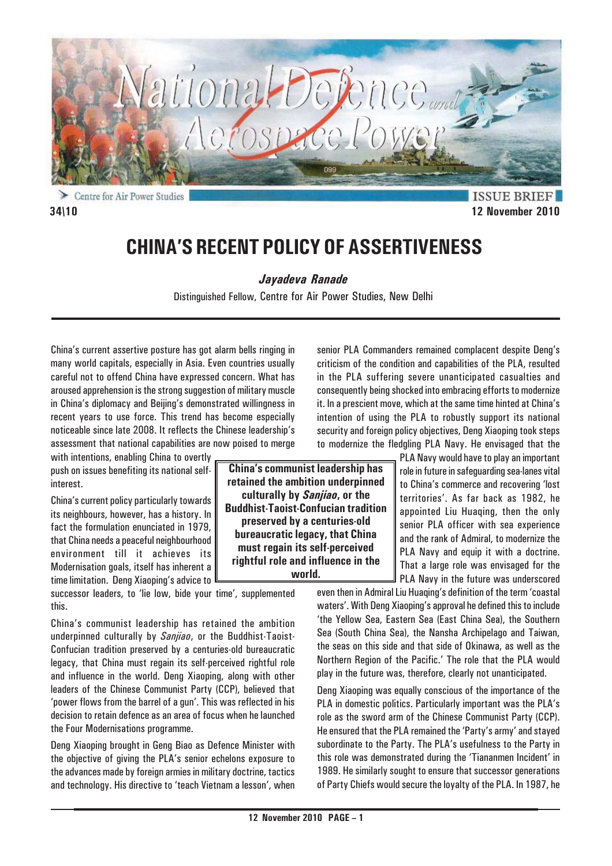

↘ Centre for Air Power Studies **34\10 12 November 2010**

# **CHINA'S RECENT POLICY OF ASSERTIVENESS**

*Jayadeva Ranade*

Distinguished Fellow, Centre for Air Power Studies, New Delhi

China's current assertive posture has got alarm bells ringing in many world capitals, especially in Asia. Even countries usually careful not to offend China have expressed concern. What has aroused apprehension is the strong suggestion of military muscle in China's diplomacy and Beijing's demonstrated willingness in recent years to use force. This trend has become especially noticeable since late 2008. It reflects the Chinese leadership's assessment that national capabilities are now poised to merge

with intentions, enabling China to overtly push on issues benefiting its national selfinterest.

China's current policy particularly towards its neighbours, however, has a history. In fact the formulation enunciated in 1979, that China needs a peaceful neighbourhood environment till it achieves its Modernisation goals, itself has inherent a time limitation. Deng Xiaoping's advice to

successor leaders, to 'lie low, bide your time', supplemented this.

China's communist leadership has retained the ambition underpinned culturally by *Sanjiao*, or the Buddhist-Taoist-Confucian tradition preserved by a centuries-old bureaucratic legacy, that China must regain its self-perceived rightful role and influence in the world. Deng Xiaoping, along with other leaders of the Chinese Communist Party (CCP), believed that 'power flows from the barrel of a gun'. This was reflected in his decision to retain defence as an area of focus when he launched the Four Modernisations programme.

Deng Xiaoping brought in Geng Biao as Defence Minister with the objective of giving the PLA's senior echelons exposure to the advances made by foreign armies in military doctrine, tactics and technology. His directive to 'teach Vietnam a lesson', when

**China's communist leadership has retained the ambition underpinned culturally by** *Sanjiao***, or the Buddhist-Taoist-Confucian tradition preserved by a centuries-old bureaucratic legacy, that China must regain its self-perceived rightful role and influence in the**

senior PLA Commanders remained complacent despite Deng's criticism of the condition and capabilities of the PLA, resulted in the PLA suffering severe unanticipated casualties and consequently being shocked into embracing efforts to modernize it. In a prescient move, which at the same time hinted at China's intention of using the PLA to robustly support its national security and foreign policy objectives, Deng Xiaoping took steps to modernize the fledgling PLA Navy. He envisaged that the

PLA Navy would have to play an important role in future in safeguarding sea-lanes vital to China's commerce and recovering 'lost territories'. As far back as 1982, he appointed Liu Huaqing, then the only senior PLA officer with sea experience and the rank of Admiral, to modernize the PLA Navy and equip it with a doctrine. That a large role was envisaged for the PLA Navy in the future was underscored

even then in Admiral Liu Huaqing's definition of the term 'coastal waters'. With Deng Xiaoping's approval he defined this to include 'the Yellow Sea, Eastern Sea (East China Sea), the Southern Sea (South China Sea), the Nansha Archipelago and Taiwan, the seas on this side and that side of Okinawa, as well as the Northern Region of the Pacific.' The role that the PLA would play in the future was, therefore, clearly not unanticipated.

Deng Xiaoping was equally conscious of the importance of the PLA in domestic politics. Particularly important was the PLA's role as the sword arm of the Chinese Communist Party (CCP). He ensured that the PLA remained the 'Party's army' and stayed subordinate to the Party. The PLA's usefulness to the Party in this role was demonstrated during the 'Tiananmen Incident' in 1989. He similarly sought to ensure that successor generations of Party Chiefs would secure the loyalty of the PLA. In 1987, he

**world.**

**ISSUE BRI**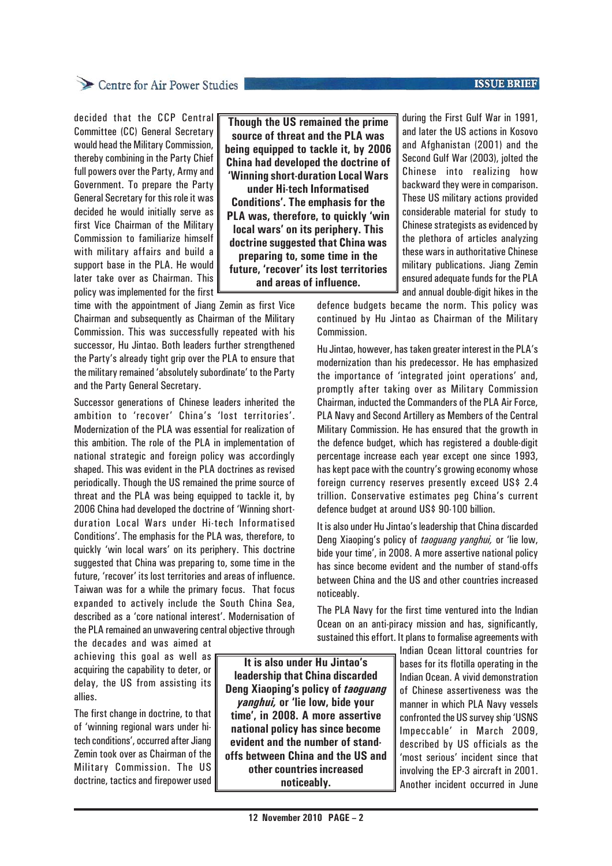#### **ISSUE BRIEF**

## Centre for Air Power Studies

decided that the CCP Central Committee (CC) General Secretary would head the Military Commission, thereby combining in the Party Chief full powers over the Party, Army and Government. To prepare the Party General Secretary for this role it was decided he would initially serve as first Vice Chairman of the Military Commission to familiarize himself with military affairs and build a support base in the PLA. He would later take over as Chairman. This policy was implemented for the first

**Though the US remained the prime source of threat and the PLA was being equipped to tackle it, by 2006 China had developed the doctrine of 'Winning short-duration Local Wars under Hi-tech Informatised Conditions'. The emphasis for the PLA was, therefore, to quickly 'win local wars' on its periphery. This doctrine suggested that China was preparing to, some time in the future, 'recover' its lost territories and areas of influence.**

time with the appointment of Jiang Zemin as first Vice Chairman and subsequently as Chairman of the Military Commission. This was successfully repeated with his successor, Hu Jintao. Both leaders further strengthened the Party's already tight grip over the PLA to ensure that the military remained 'absolutely subordinate' to the Party and the Party General Secretary.

Successor generations of Chinese leaders inherited the ambition to 'recover' China's 'lost territories'. Modernization of the PLA was essential for realization of this ambition. The role of the PLA in implementation of national strategic and foreign policy was accordingly shaped. This was evident in the PLA doctrines as revised periodically. Though the US remained the prime source of threat and the PLA was being equipped to tackle it, by 2006 China had developed the doctrine of 'Winning shortduration Local Wars under Hi-tech Informatised Conditions'. The emphasis for the PLA was, therefore, to quickly 'win local wars' on its periphery. This doctrine suggested that China was preparing to, some time in the future, 'recover' its lost territories and areas of influence. Taiwan was for a while the primary focus. That focus expanded to actively include the South China Sea, described as a 'core national interest'. Modernisation of the PLA remained an unwavering central objective through

the decades and was aimed at achieving this goal as well as acquiring the capability to deter, or delay, the US from assisting its allies.

The first change in doctrine, to that of 'winning regional wars under hitech conditions', occurred after Jiang Zemin took over as Chairman of the Military Commission. The US doctrine, tactics and firepower used

**It is also under Hu Jintao's leadership that China discarded Deng Xiaoping's policy of** *taoguang yanghui,* **or 'lie low, bide your time', in 2008. A more assertive national policy has since become evident and the number of standoffs between China and the US and other countries increased noticeably.**

during the First Gulf War in 1991, and later the US actions in Kosovo and Afghanistan (2001) and the Second Gulf War (2003), jolted the Chinese into realizing how backward they were in comparison. These US military actions provided considerable material for study to Chinese strategists as evidenced by the plethora of articles analyzing these wars in authoritative Chinese military publications. Jiang Zemin ensured adequate funds for the PLA and annual double-digit hikes in the

defence budgets became the norm. This policy was continued by Hu Jintao as Chairman of the Military Commission.

Hu Jintao, however, has taken greater interest in the PLA's modernization than his predecessor. He has emphasized the importance of 'integrated joint operations' and, promptly after taking over as Military Commission Chairman, inducted the Commanders of the PLA Air Force, PLA Navy and Second Artillery as Members of the Central Military Commission. He has ensured that the growth in the defence budget, which has registered a double-digit percentage increase each year except one since 1993, has kept pace with the country's growing economy whose foreign currency reserves presently exceed US\$ 2.4 trillion. Conservative estimates peg China's current defence budget at around US\$ 90-100 billion.

It is also under Hu Jintao's leadership that China discarded Deng Xiaoping's policy of *taoguang yanghui,* or 'lie low, bide your time', in 2008. A more assertive national policy has since become evident and the number of stand-offs between China and the US and other countries increased noticeably.

The PLA Navy for the first time ventured into the Indian Ocean on an anti-piracy mission and has, significantly, sustained this effort. It plans to formalise agreements with

> Indian Ocean littoral countries for bases for its flotilla operating in the Indian Ocean. A vivid demonstration of Chinese assertiveness was the manner in which PLA Navy vessels confronted the US survey ship 'USNS Impeccable' in March 2009, described by US officials as the 'most serious' incident since that involving the EP-3 aircraft in 2001. Another incident occurred in June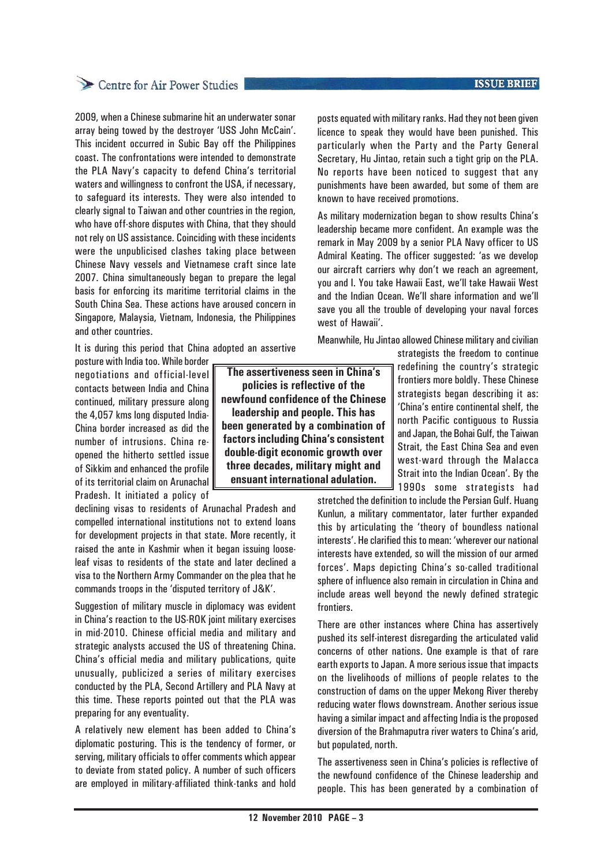## Centre for Air Power Studies

2009, when a Chinese submarine hit an underwater sonar array being towed by the destroyer 'USS John McCain'. This incident occurred in Subic Bay off the Philippines coast. The confrontations were intended to demonstrate the PLA Navy's capacity to defend China's territorial waters and willingness to confront the USA, if necessary, to safeguard its interests. They were also intended to clearly signal to Taiwan and other countries in the region, who have off-shore disputes with China, that they should not rely on US assistance. Coinciding with these incidents were the unpublicised clashes taking place between Chinese Navy vessels and Vietnamese craft since late 2007. China simultaneously began to prepare the legal basis for enforcing its maritime territorial claims in the South China Sea. These actions have aroused concern in Singapore, Malaysia, Vietnam, Indonesia, the Philippines and other countries.

It is during this period that China adopted an assertive

posture with India too. While border negotiations and official-level contacts between India and China continued, military pressure along the 4,057 kms long disputed India-China border increased as did the number of intrusions. China reopened the hitherto settled issue of Sikkim and enhanced the profile of its territorial claim on Arunachal Pradesh. It initiated a policy of

declining visas to residents of Arunachal Pradesh and compelled international institutions not to extend loans for development projects in that state. More recently, it raised the ante in Kashmir when it began issuing looseleaf visas to residents of the state and later declined a visa to the Northern Army Commander on the plea that he commands troops in the 'disputed territory of J&K'.

Suggestion of military muscle in diplomacy was evident in China's reaction to the US-ROK joint military exercises in mid-2010. Chinese official media and military and strategic analysts accused the US of threatening China. China's official media and military publications, quite unusually, publicized a series of military exercises conducted by the PLA, Second Artillery and PLA Navy at this time. These reports pointed out that the PLA was preparing for any eventuality.

A relatively new element has been added to China's diplomatic posturing. This is the tendency of former, or serving, military officials to offer comments which appear to deviate from stated policy. A number of such officers are employed in military-affiliated think-tanks and hold

**The assertiveness seen in China's policies is reflective of the newfound confidence of the Chinese leadership and people. This has been generated by a combination of factors including China's consistent double-digit economic growth over three decades, military might and ensuant international adulation.**

posts equated with military ranks. Had they not been given licence to speak they would have been punished. This particularly when the Party and the Party General Secretary, Hu Jintao, retain such a tight grip on the PLA. No reports have been noticed to suggest that any punishments have been awarded, but some of them are known to have received promotions.

As military modernization began to show results China's leadership became more confident. An example was the remark in May 2009 by a senior PLA Navy officer to US Admiral Keating. The officer suggested: 'as we develop our aircraft carriers why don't we reach an agreement, you and I. You take Hawaii East, we'll take Hawaii West and the Indian Ocean. We'll share information and we'll save you all the trouble of developing your naval forces west of Hawaii'.

Meanwhile, Hu Jintao allowed Chinese military and civilian

strategists the freedom to continue redefining the country's strategic frontiers more boldly. These Chinese strategists began describing it as: 'China's entire continental shelf, the north Pacific contiguous to Russia and Japan, the Bohai Gulf, the Taiwan Strait, the East China Sea and even west-ward through the Malacca Strait into the Indian Ocean'. By the 1990s some strategists had

stretched the definition to include the Persian Gulf. Huang Kunlun, a military commentator, later further expanded this by articulating the 'theory of boundless national interests'. He clarified this to mean: 'wherever our national interests have extended, so will the mission of our armed forces'. Maps depicting China's so-called traditional sphere of influence also remain in circulation in China and include areas well beyond the newly defined strategic frontiers.

There are other instances where China has assertively pushed its self-interest disregarding the articulated valid concerns of other nations. One example is that of rare earth exports to Japan. A more serious issue that impacts on the livelihoods of millions of people relates to the construction of dams on the upper Mekong River thereby reducing water flows downstream. Another serious issue having a similar impact and affecting India is the proposed diversion of the Brahmaputra river waters to China's arid, but populated, north.

The assertiveness seen in China's policies is reflective of the newfound confidence of the Chinese leadership and people. This has been generated by a combination of